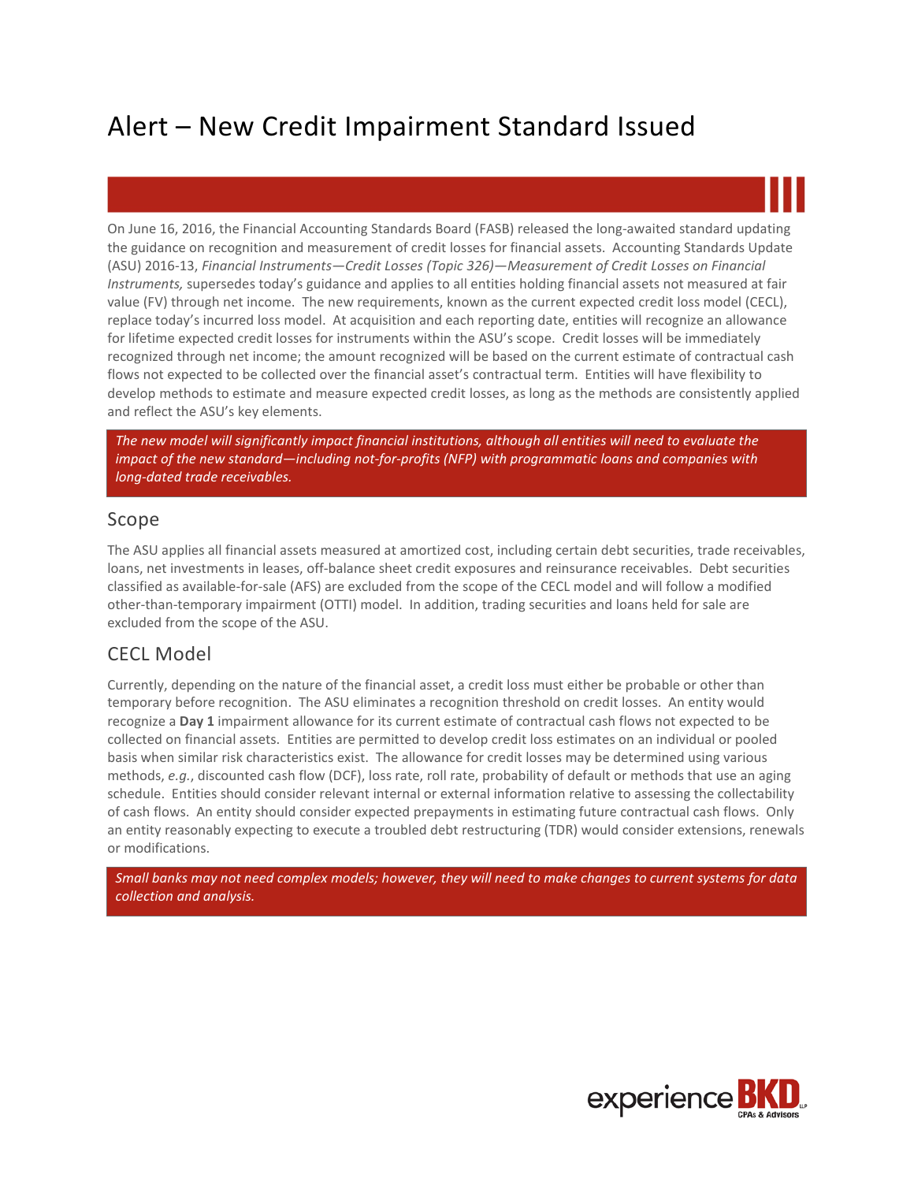# Alert – New Credit Impairment Standard Issued

On June 16, 2016, the Financial Accounting Standards Board (FASB) released the long-awaited standard updating the guidance on recognition and measurement of credit losses for financial assets. Accounting Standards Update (ASU) 2016-13, *Financial Instruments—Credit Losses (Topic 326)—Measurement of Credit Losses on Financial Instruments,* supersedes today's guidance and applies to all entities holding financial assets not measured at fair value (FV) through net income. The new requirements, known as the current expected credit loss model (CECL), replace today's incurred loss model. At acquisition and each reporting date, entities will recognize an allowance for lifetime expected credit losses for instruments within the ASU's scope. Credit losses will be immediately recognized through net income; the amount recognized will be based on the current estimate of contractual cash flows not expected to be collected over the financial asset's contractual term. Entities will have flexibility to develop methods to estimate and measure expected credit losses, as long as the methods are consistently applied and reflect the ASU's key elements.

*The new model will significantly impact financial institutions, although all entities will need to evaluate the impact of the new standard—including not-for-profits (NFP) with programmatic loans and companies with long-dated trade receivables.*

# Scope

The ASU applies all financial assets measured at amortized cost, including certain debt securities, trade receivables, loans, net investments in leases, off-balance sheet credit exposures and reinsurance receivables. Debt securities classified as available-for-sale (AFS) are excluded from the scope of the CECL model and will follow a modified other-than-temporary impairment (OTTI) model. In addition, trading securities and loans held for sale are excluded from the scope of the ASU.

# CECL Model

Currently, depending on the nature of the financial asset, a credit loss must either be probable or other than temporary before recognition. The ASU eliminates a recognition threshold on credit losses. An entity would recognize a **Day 1** impairment allowance for its current estimate of contractual cash flows not expected to be collected on financial assets. Entities are permitted to develop credit loss estimates on an individual or pooled basis when similar risk characteristics exist. The allowance for credit losses may be determined using various methods, *e.g.*, discounted cash flow (DCF), loss rate, roll rate, probability of default or methods that use an aging schedule. Entities should consider relevant internal or external information relative to assessing the collectability of cash flows. An entity should consider expected prepayments in estimating future contractual cash flows. Only an entity reasonably expecting to execute a troubled debt restructuring (TDR) would consider extensions, renewals or modifications.

*Small banks may not need complex models; however, they will need to make changes to current systems for data collection and analysis.*

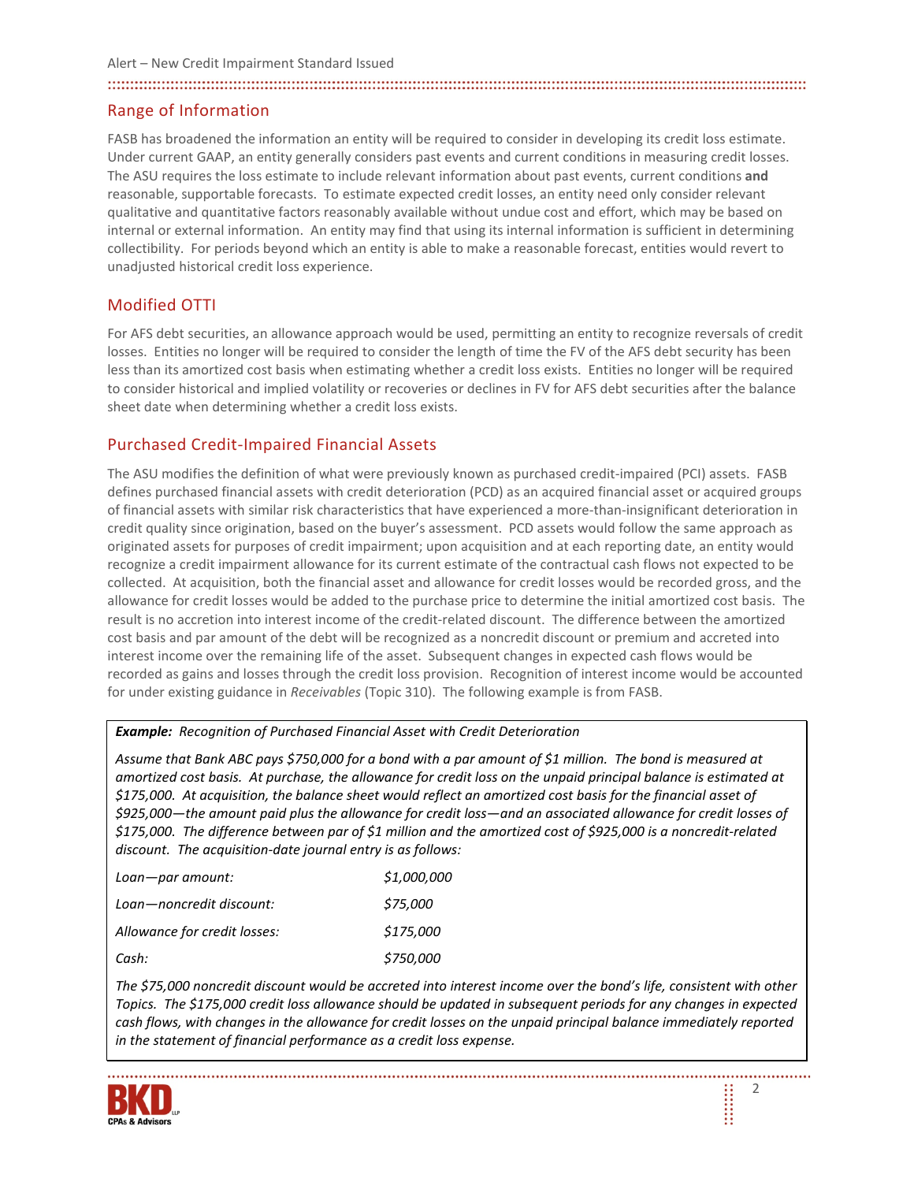#### 

## Range of Information

FASB has broadened the information an entity will be required to consider in developing its credit loss estimate. Under current GAAP, an entity generally considers past events and current conditions in measuring credit losses. The ASU requires the loss estimate to include relevant information about past events, current conditions **and**  reasonable, supportable forecasts. To estimate expected credit losses, an entity need only consider relevant qualitative and quantitative factors reasonably available without undue cost and effort, which may be based on internal or external information. An entity may find that using its internal information is sufficient in determining collectibility. For periods beyond which an entity is able to make a reasonable forecast, entities would revert to unadjusted historical credit loss experience.

# Modified OTTI

For AFS debt securities, an allowance approach would be used, permitting an entity to recognize reversals of credit losses. Entities no longer will be required to consider the length of time the FV of the AFS debt security has been less than its amortized cost basis when estimating whether a credit loss exists. Entities no longer will be required to consider historical and implied volatility or recoveries or declines in FV for AFS debt securities after the balance sheet date when determining whether a credit loss exists.

## Purchased Credit-Impaired Financial Assets

The ASU modifies the definition of what were previously known as purchased credit-impaired (PCI) assets. FASB defines purchased financial assets with credit deterioration (PCD) as an acquired financial asset or acquired groups of financial assets with similar risk characteristics that have experienced a more-than-insignificant deterioration in credit quality since origination, based on the buyer's assessment. PCD assets would follow the same approach as originated assets for purposes of credit impairment; upon acquisition and at each reporting date, an entity would recognize a credit impairment allowance for its current estimate of the contractual cash flows not expected to be collected. At acquisition, both the financial asset and allowance for credit losses would be recorded gross, and the allowance for credit losses would be added to the purchase price to determine the initial amortized cost basis. The result is no accretion into interest income of the credit-related discount. The difference between the amortized cost basis and par amount of the debt will be recognized as a noncredit discount or premium and accreted into interest income over the remaining life of the asset. Subsequent changes in expected cash flows would be recorded as gains and losses through the credit loss provision. Recognition of interest income would be accounted for under existing guidance in *Receivables* (Topic 310). The following example is from FASB.

#### *Example: Recognition of Purchased Financial Asset with Credit Deterioration*

*Assume that Bank ABC pays \$750,000 for a bond with a par amount of \$1 million. The bond is measured at amortized cost basis. At purchase, the allowance for credit loss on the unpaid principal balance is estimated at \$175,000. At acquisition, the balance sheet would reflect an amortized cost basis for the financial asset of \$925,000—the amount paid plus the allowance for credit loss—and an associated allowance for credit losses of \$175,000. The difference between par of \$1 million and the amortized cost of \$925,000 is a noncredit-related discount. The acquisition-date journal entry is as follows:*

| Loan-par amount:             | \$1,000,000 |
|------------------------------|-------------|
| Loan-noncredit discount:     | \$75,000    |
| Allowance for credit losses: | \$175,000   |
| Cash:                        | \$750,000   |

*The \$75,000 noncredit discount would be accreted into interest income over the bond's life, consistent with other Topics. The \$175,000 credit loss allowance should be updated in subsequent periods for any changes in expected cash flows, with changes in the allowance for credit losses on the unpaid principal balance immediately reported in the statement of financial performance as a credit loss expense.*

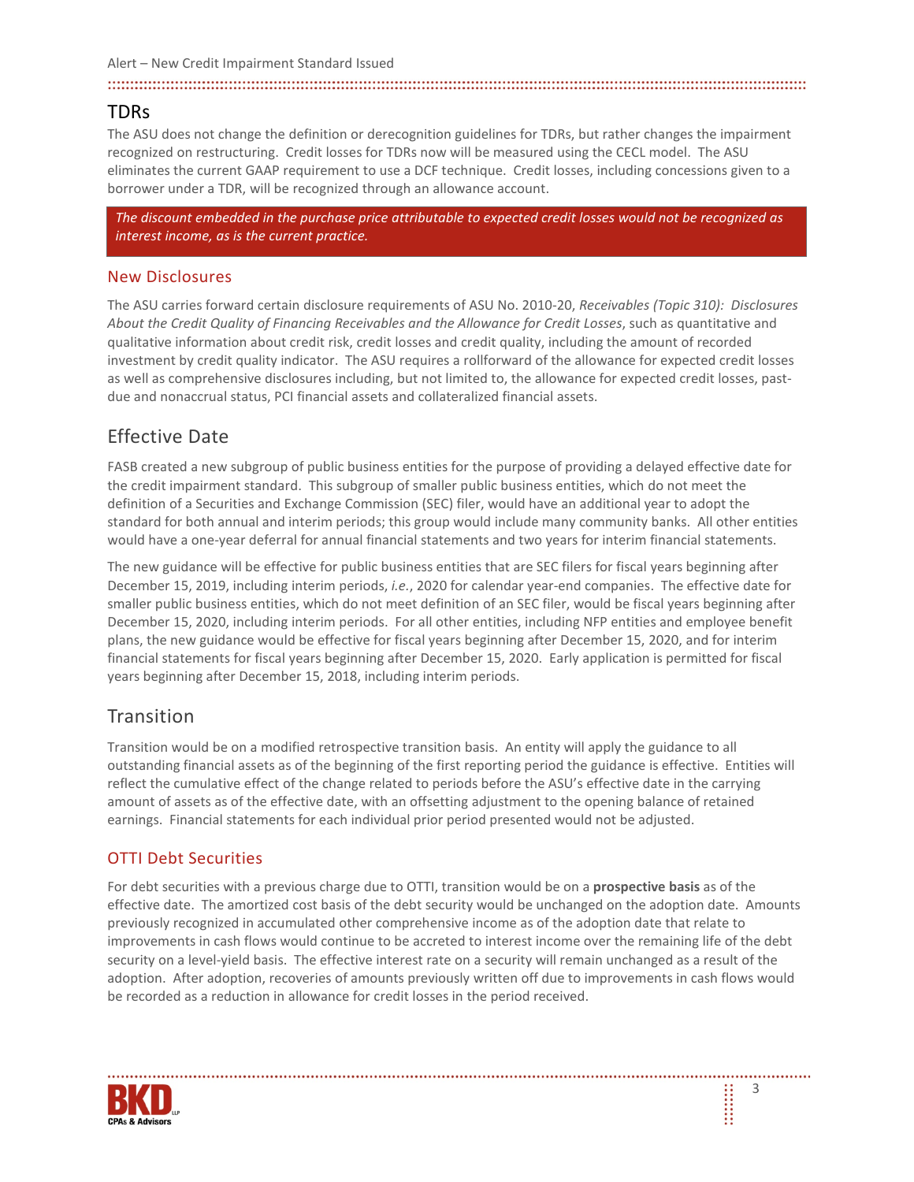#### Alert – New Credit Impairment Standard Issued

#### 

## TDRs

The ASU does not change the definition or derecognition guidelines for TDRs, but rather changes the impairment recognized on restructuring. Credit losses for TDRs now will be measured using the CECL model. The ASU eliminates the current GAAP requirement to use a DCF technique. Credit losses, including concessions given to a borrower under a TDR, will be recognized through an allowance account.

*The discount embedded in the purchase price attributable to expected credit losses would not be recognized as interest income, as is the current practice.*

### New Disclosures

The ASU carries forward certain disclosure requirements of ASU No. 2010-20, *Receivables (Topic 310): Disclosures About the Credit Quality of Financing Receivables and the Allowance for Credit Losses*, such as quantitative and qualitative information about credit risk, credit losses and credit quality, including the amount of recorded investment by credit quality indicator. The ASU requires a rollforward of the allowance for expected credit losses as well as comprehensive disclosures including, but not limited to, the allowance for expected credit losses, pastdue and nonaccrual status, PCI financial assets and collateralized financial assets.

# Effective Date

FASB created a new subgroup of public business entities for the purpose of providing a delayed effective date for the credit impairment standard. This subgroup of smaller public business entities, which do not meet the definition of a Securities and Exchange Commission (SEC) filer, would have an additional year to adopt the standard for both annual and interim periods; this group would include many community banks. All other entities would have a one-year deferral for annual financial statements and two years for interim financial statements.

The new guidance will be effective for public business entities that are SEC filers for fiscal years beginning after December 15, 2019, including interim periods, *i.e.*, 2020 for calendar year-end companies. The effective date for smaller public business entities, which do not meet definition of an SEC filer, would be fiscal years beginning after December 15, 2020, including interim periods. For all other entities, including NFP entities and employee benefit plans, the new guidance would be effective for fiscal years beginning after December 15, 2020, and for interim financial statements for fiscal years beginning after December 15, 2020. Early application is permitted for fiscal years beginning after December 15, 2018, including interim periods.

# **Transition**

Transition would be on a modified retrospective transition basis. An entity will apply the guidance to all outstanding financial assets as of the beginning of the first reporting period the guidance is effective. Entities will reflect the cumulative effect of the change related to periods before the ASU's effective date in the carrying amount of assets as of the effective date, with an offsetting adjustment to the opening balance of retained earnings. Financial statements for each individual prior period presented would not be adjusted.

## OTTI Debt Securities

For debt securities with a previous charge due to OTTI, transition would be on a **prospective basis** as of the effective date. The amortized cost basis of the debt security would be unchanged on the adoption date. Amounts previously recognized in accumulated other comprehensive income as of the adoption date that relate to improvements in cash flows would continue to be accreted to interest income over the remaining life of the debt security on a level-yield basis. The effective interest rate on a security will remain unchanged as a result of the adoption. After adoption, recoveries of amounts previously written off due to improvements in cash flows would be recorded as a reduction in allowance for credit losses in the period received.